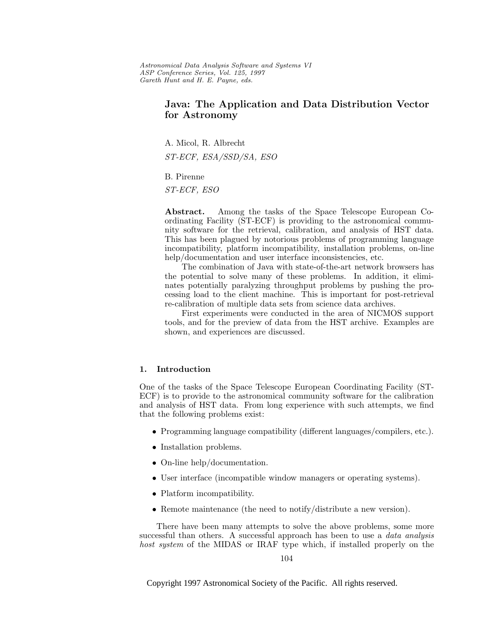Astronomical Data Analysis Software and Systems VI ASP Conference Series, Vol. 125, 1997 Gareth Hunt and H. E. Payne, e ds.

# **Java: The Application and Data Distribution Vector for Astronomy**

A. Micol, R. Albrecht

ST-ECF, ESA/SSD/SA, ESO

B. Pirenne

ST-ECF, ESO

**Abstract.** Among the tasks of the Space Telescope European Coordinating Facility (ST-ECF) is providing to the astronomical community software for the retrieval, calibration, and analysis of HST data. This has been plagued by notorious problems of programming language incompatibility, platform incompatibility, installation problems, on-line help/documentation and user interface inconsistencies, etc.

The combination of Java with state-of-the-art network browsers has the potential to solve many of these problems. In addition, it eliminates potentially paralyzing throughput problems by pushing the processing load to the client machine. This is important for post-retrieval re-calibration of multiple data sets from science data archives.

First experiments were conducted in the area of NICMOS support tools, and for the preview of data from the HST archive. Examples are shown, and experiences are discussed.

#### **1. Introduction**

One of the tasks of the Space Telescope European Coordinating Facility (ST-ECF) is to provide to the astronomical community software for the calibration and analysis of HST data. From long experience with such attempts, we find that the following problems exist:

- Programming language compatibility (different languages/compilers, etc.).
- Installation problems.
- On-line help/documentation.
- User interface (incompatible window managers or operating systems).
- Platform incompatibility.
- Remote maintenance (the need to notify/distribute a new version).

There have been many attempts to solve the above problems, some more successful than others. A successful approach has been to use a *data analysis* host system of the MIDAS or IRAF type which, if installed properly on the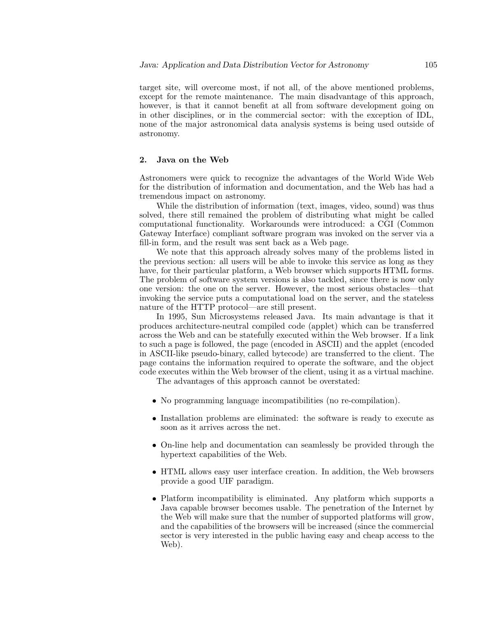target site, will overcome most, if not all, of the above mentioned problems, except for the remote maintenance. The main disadvantage of this approach, however, is that it cannot benefit at all from software development going on in other disciplines, or in the commercial sector: with the exception of IDL, none of the major astronomical data analysis systems is being used outside of astronomy.

#### **2. Java on the Web**

Astronomers were quick to recognize the advantages of the World Wide Web for the distribution of information and documentation, and the Web has had a tremendous impact on astronomy.

While the distribution of information (text, images, video, sound) was thus solved, there still remained the problem of distributing what might be called computational functionality. Workarounds were introduced: a CGI (Common Gateway Interface) compliant software program was invoked on the server via a fill-in form, and the result was sent back as a Web page.

We note that this approach already solves many of the problems listed in the previous section: all users will be able to invoke this service as long as they have, for their particular platform, a Web browser which supports HTML forms. The problem of software system versions is also tackled, since there is now only one version: the one on the server. However, the most serious obstacles—that invoking the service puts a computational load on the server, and the stateless nature of the HTTP protocol—are still present.

In 1995, Sun Microsystems released Java. Its main advantage is that it produces architecture-neutral compiled code (applet) which can be transferred across the Web and can be statefully executed within the Web browser. If a link to such a page is followed, the page (encoded in ASCII) and the applet (encoded in ASCII-like pseudo-binary, called bytecode) are transferred to the client. The page contains the information required to operate the software, and the object code executes within the Web browser of the client, using it as a virtual machine.

The advantages of this approach cannot be overstated:

- No programming language incompatibilities (no re-compilation).
- Installation problems are eliminated: the software is ready to execute as soon as it arrives across the net.
- On-line help and documentation can seamlessly be provided through the hypertext capabilities of the Web.
- HTML allows easy user interface creation. In addition, the Web browsers provide a good UIF paradigm.
- Platform incompatibility is eliminated. Any platform which supports a Java capable browser becomes usable. The penetration of the Internet by the Web will make sure that the number of supported platforms will grow, and the capabilities of the browsers will be increased (since the commercial sector is very interested in the public having easy and cheap access to the Web).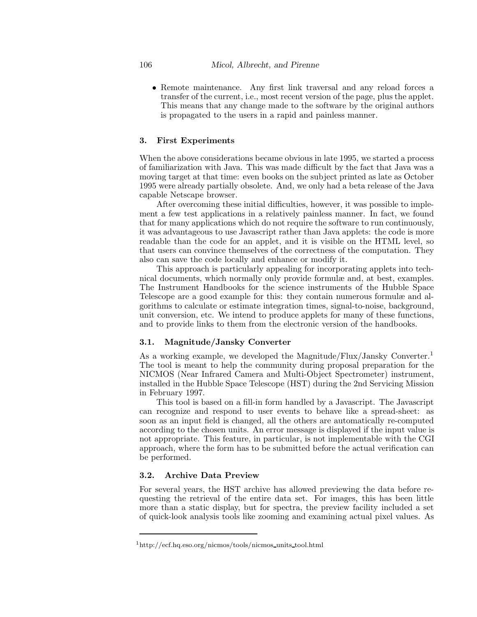• Remote maintenance. Any first link traversal and any reload forces a transfer of the current, i.e., most recent version of the page, plus the applet. This means that any change made to the software by the original authors is propagated to the users in a rapid and painless manner.

## **3. First Experiments**

When the above considerations became obvious in late 1995, we started a process of familiarization with Java. This was made difficult by the fact that Java was a moving target at that time: even books on the subject printed as late as October 1995 were already partially obsolete. And, we only had a beta release of the Java capable Netscape browser.

After overcoming these initial difficulties, however, it was possible to implement a few test applications in a relatively painless manner. In fact, we found that for many applications which do not require the software to run continuously, it was advantageous to use Javascript rather than Java applets: the code is more readable than the code for an applet, and it is visible on the HTML level, so that users can convince themselves of the correctness of the computation. They also can save the code locally and enhance or modify it.

This approach is particularly appealing for incorporating applets into technical documents, which normally only provide formulæ and, at best, examples. The Instrument Handbooks for the science instruments of the Hubble Space Telescope are a good example for this: they contain numerous formulæ and algorithms to calculate or estimate integration times, signal-to-noise, background, unit conversion, etc. We intend to produce applets for many of these functions, and to provide links to them from the electronic version of the handbooks.

## **3.1. Magnitude/Jansky Converter**

As a working example, we developed the Magnitude/Flux/Jansky Converter.<sup>1</sup> The tool is meant to help the community during proposal preparation for the NICMOS (Near Infrared Camera and Multi-Object Spectrometer) instrument, installed in the Hubble Space Telescope (HST) during the 2nd Servicing Mission in February 1997.

This tool is based on a fill-in form handled by a Javascript. The Javascript can recognize and respond to user events to behave like a spread-sheet: as soon as an input field is changed, all the others are automatically re-computed according to the chosen units. An error message is displayed if the input value is not appropriate. This feature, in particular, is not implementable with the CGI approach, where the form has to be submitted before the actual verification can be performed.

## **3.2. Archive Data Preview**

For several years, the HST archive has allowed previewing the data before requesting the retrieval of the entire data set. For images, this has been little more than a static display, but for spectra, the preview facility included a set of quick-look analysis tools like zooming and examining actual pixel values. As

<sup>1</sup>http://ecf.hq.eso.org/nicmos/tools/nicmos units tool.html